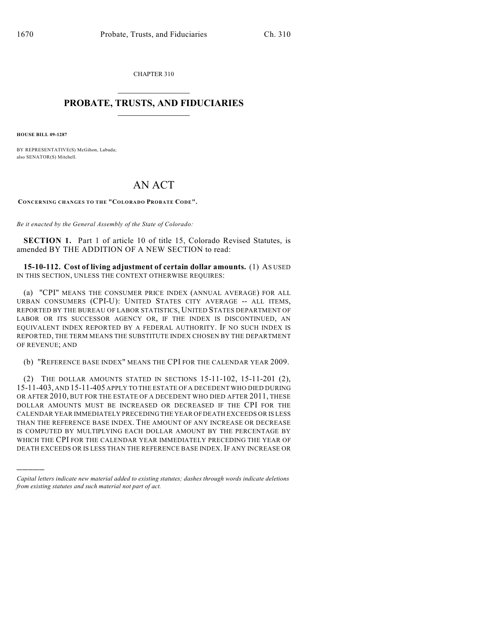CHAPTER 310  $\overline{\phantom{a}}$  . The set of the set of the set of the set of the set of the set of the set of the set of the set of the set of the set of the set of the set of the set of the set of the set of the set of the set of the set o

## **PROBATE, TRUSTS, AND FIDUCIARIES**  $\overline{\phantom{a}}$

**HOUSE BILL 09-1287**

)))))

BY REPRESENTATIVE(S) McGihon, Labuda; also SENATOR(S) Mitchell.

# AN ACT

**CONCERNING CHANGES TO THE "COLORADO PROBATE CODE".**

*Be it enacted by the General Assembly of the State of Colorado:*

**SECTION 1.** Part 1 of article 10 of title 15, Colorado Revised Statutes, is amended BY THE ADDITION OF A NEW SECTION to read:

**15-10-112. Cost of living adjustment of certain dollar amounts.** (1) AS USED IN THIS SECTION, UNLESS THE CONTEXT OTHERWISE REQUIRES:

(a) "CPI" MEANS THE CONSUMER PRICE INDEX (ANNUAL AVERAGE) FOR ALL URBAN CONSUMERS (CPI-U): UNITED STATES CITY AVERAGE -- ALL ITEMS, REPORTED BY THE BUREAU OF LABOR STATISTICS, UNITED STATES DEPARTMENT OF LABOR OR ITS SUCCESSOR AGENCY OR, IF THE INDEX IS DISCONTINUED, AN EQUIVALENT INDEX REPORTED BY A FEDERAL AUTHORITY. IF NO SUCH INDEX IS REPORTED, THE TERM MEANS THE SUBSTITUTE INDEX CHOSEN BY THE DEPARTMENT OF REVENUE; AND

(b) "REFERENCE BASE INDEX" MEANS THE CPI FOR THE CALENDAR YEAR 2009.

(2) THE DOLLAR AMOUNTS STATED IN SECTIONS 15-11-102, 15-11-201 (2), 15-11-403, AND 15-11-405 APPLY TO THE ESTATE OF A DECEDENT WHO DIED DURING OR AFTER 2010, BUT FOR THE ESTATE OF A DECEDENT WHO DIED AFTER 2011, THESE DOLLAR AMOUNTS MUST BE INCREASED OR DECREASED IF THE CPI FOR THE CALENDAR YEAR IMMEDIATELY PRECEDING THE YEAR OF DEATH EXCEEDS OR IS LESS THAN THE REFERENCE BASE INDEX. THE AMOUNT OF ANY INCREASE OR DECREASE IS COMPUTED BY MULTIPLYING EACH DOLLAR AMOUNT BY THE PERCENTAGE BY WHICH THE CPI FOR THE CALENDAR YEAR IMMEDIATELY PRECEDING THE YEAR OF DEATH EXCEEDS OR IS LESS THAN THE REFERENCE BASE INDEX. IF ANY INCREASE OR

*Capital letters indicate new material added to existing statutes; dashes through words indicate deletions from existing statutes and such material not part of act.*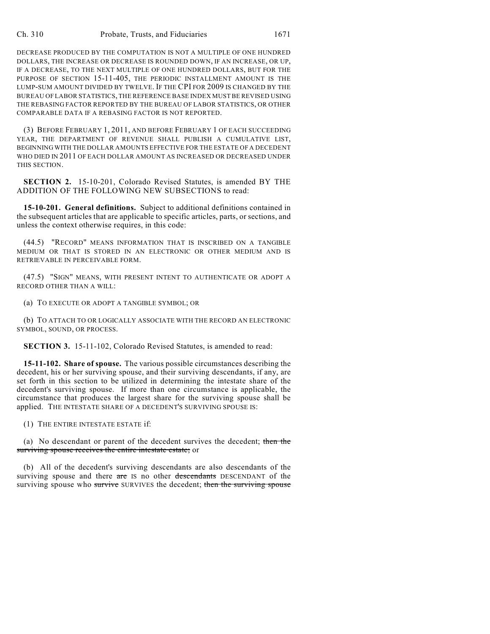DECREASE PRODUCED BY THE COMPUTATION IS NOT A MULTIPLE OF ONE HUNDRED DOLLARS, THE INCREASE OR DECREASE IS ROUNDED DOWN, IF AN INCREASE, OR UP, IF A DECREASE, TO THE NEXT MULTIPLE OF ONE HUNDRED DOLLARS, BUT FOR THE PURPOSE OF SECTION 15-11-405, THE PERIODIC INSTALLMENT AMOUNT IS THE LUMP-SUM AMOUNT DIVIDED BY TWELVE. IF THE CPI FOR 2009 IS CHANGED BY THE BUREAU OF LABOR STATISTICS, THE REFERENCE BASE INDEX MUST BE REVISED USING THE REBASING FACTOR REPORTED BY THE BUREAU OF LABOR STATISTICS, OR OTHER COMPARABLE DATA IF A REBASING FACTOR IS NOT REPORTED.

(3) BEFORE FEBRUARY 1, 2011, AND BEFORE FEBRUARY 1 OF EACH SUCCEEDING YEAR, THE DEPARTMENT OF REVENUE SHALL PUBLISH A CUMULATIVE LIST, BEGINNING WITH THE DOLLAR AMOUNTS EFFECTIVE FOR THE ESTATE OF A DECEDENT WHO DIED IN 2011 OF EACH DOLLAR AMOUNT AS INCREASED OR DECREASED UNDER THIS SECTION.

**SECTION 2.** 15-10-201, Colorado Revised Statutes, is amended BY THE ADDITION OF THE FOLLOWING NEW SUBSECTIONS to read:

**15-10-201. General definitions.** Subject to additional definitions contained in the subsequent articles that are applicable to specific articles, parts, or sections, and unless the context otherwise requires, in this code:

(44.5) "RECORD" MEANS INFORMATION THAT IS INSCRIBED ON A TANGIBLE MEDIUM OR THAT IS STORED IN AN ELECTRONIC OR OTHER MEDIUM AND IS RETRIEVABLE IN PERCEIVABLE FORM.

(47.5) "SIGN" MEANS, WITH PRESENT INTENT TO AUTHENTICATE OR ADOPT A RECORD OTHER THAN A WILL:

(a) TO EXECUTE OR ADOPT A TANGIBLE SYMBOL; OR

(b) TO ATTACH TO OR LOGICALLY ASSOCIATE WITH THE RECORD AN ELECTRONIC SYMBOL, SOUND, OR PROCESS.

**SECTION 3.** 15-11-102, Colorado Revised Statutes, is amended to read:

**15-11-102. Share of spouse.** The various possible circumstances describing the decedent, his or her surviving spouse, and their surviving descendants, if any, are set forth in this section to be utilized in determining the intestate share of the decedent's surviving spouse. If more than one circumstance is applicable, the circumstance that produces the largest share for the surviving spouse shall be applied. THE INTESTATE SHARE OF A DECEDENT'S SURVIVING SPOUSE IS:

(1) THE ENTIRE INTESTATE ESTATE if:

(a) No descendant or parent of the decedent survives the decedent; then the surviving spouse receives the entire intestate estate; or

(b) All of the decedent's surviving descendants are also descendants of the surviving spouse and there are IS no other descendants DESCENDANT of the surviving spouse who survive SURVIVES the decedent; then the surviving spouse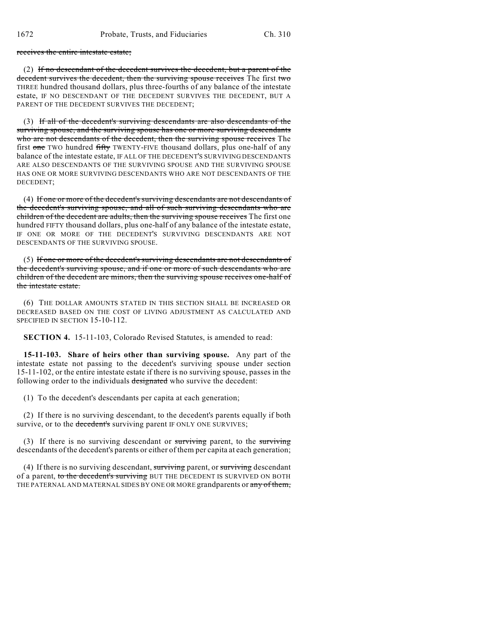receives the entire intestate estate;

(2) If no descendant of the decedent survives the decedent, but a parent of the decedent survives the decedent, then the surviving spouse receives The first two THREE hundred thousand dollars, plus three-fourths of any balance of the intestate estate, IF NO DESCENDANT OF THE DECEDENT SURVIVES THE DECEDENT, BUT A PARENT OF THE DECEDENT SURVIVES THE DECEDENT;

(3) If all of the decedent's surviving descendants are also descendants of the surviving spouse, and the surviving spouse has one or more surviving descendants who are not descendants of the decedent, then the surviving spouse receives The first one TWO hundred fifty TWENTY-FIVE thousand dollars, plus one-half of any balance of the intestate estate, IF ALL OF THE DECEDENT'S SURVIVING DESCENDANTS ARE ALSO DESCENDANTS OF THE SURVIVING SPOUSE AND THE SURVIVING SPOUSE HAS ONE OR MORE SURVIVING DESCENDANTS WHO ARE NOT DESCENDANTS OF THE DECEDENT;

(4) If one or more of the decedent's surviving descendants are not descendants of the decedent's surviving spouse, and all of such surviving descendants who are children of the decedent are adults, then the surviving spouse receives The first one hundred FIFTY thousand dollars, plus one-half of any balance of the intestate estate, IF ONE OR MORE OF THE DECEDENT'S SURVIVING DESCENDANTS ARE NOT DESCENDANTS OF THE SURVIVING SPOUSE.

(5) If one or more of the decedent's surviving descendants are not descendants of the decedent's surviving spouse, and if one or more of such descendants who are children of the decedent are minors, then the surviving spouse receives one-half of the intestate estate.

(6) THE DOLLAR AMOUNTS STATED IN THIS SECTION SHALL BE INCREASED OR DECREASED BASED ON THE COST OF LIVING ADJUSTMENT AS CALCULATED AND SPECIFIED IN SECTION 15-10-112.

**SECTION 4.** 15-11-103, Colorado Revised Statutes, is amended to read:

**15-11-103. Share of heirs other than surviving spouse.** Any part of the intestate estate not passing to the decedent's surviving spouse under section 15-11-102, or the entire intestate estate if there is no surviving spouse, passes in the following order to the individuals designated who survive the decedent:

(1) To the decedent's descendants per capita at each generation;

(2) If there is no surviving descendant, to the decedent's parents equally if both survive, or to the decedent's surviving parent IF ONLY ONE SURVIVES;

(3) If there is no surviving descendant or  $\frac{1}{2}$  surviving parent, to the  $\frac{1}{2}$  surviving descendants of the decedent's parents or either of them per capita at each generation;

(4) If there is no surviving descendant, surviving parent, or surviving descendant of a parent, to the decedent's surviving BUT THE DECEDENT IS SURVIVED ON BOTH THE PATERNAL AND MATERNAL SIDES BY ONE OR MORE grandparents or any of them,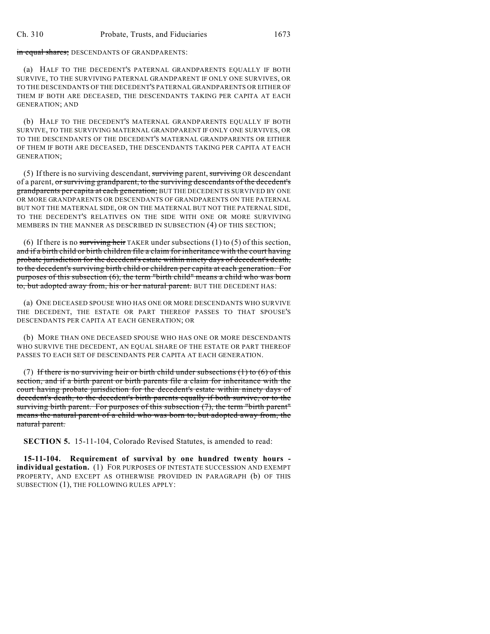in equal shares; DESCENDANTS OF GRANDPARENTS:

(a) HALF TO THE DECEDENT'S PATERNAL GRANDPARENTS EQUALLY IF BOTH SURVIVE, TO THE SURVIVING PATERNAL GRANDPARENT IF ONLY ONE SURVIVES, OR TO THE DESCENDANTS OF THE DECEDENT'S PATERNAL GRANDPARENTS OR EITHER OF THEM IF BOTH ARE DECEASED, THE DESCENDANTS TAKING PER CAPITA AT EACH GENERATION; AND

(b) HALF TO THE DECEDENT'S MATERNAL GRANDPARENTS EQUALLY IF BOTH SURVIVE, TO THE SURVIVING MATERNAL GRANDPARENT IF ONLY ONE SURVIVES, OR TO THE DESCENDANTS OF THE DECEDENT'S MATERNAL GRANDPARENTS OR EITHER OF THEM IF BOTH ARE DECEASED, THE DESCENDANTS TAKING PER CAPITA AT EACH GENERATION;

(5) If there is no surviving descendant, surviving parent, surviving OR descendant of a parent, or surviving grandparent, to the surviving descendants of the decedent's grandparents per capita at each generation; BUT THE DECEDENT IS SURVIVED BY ONE OR MORE GRANDPARENTS OR DESCENDANTS OF GRANDPARENTS ON THE PATERNAL BUT NOT THE MATERNAL SIDE, OR ON THE MATERNAL BUT NOT THE PATERNAL SIDE, TO THE DECEDENT'S RELATIVES ON THE SIDE WITH ONE OR MORE SURVIVING MEMBERS IN THE MANNER AS DESCRIBED IN SUBSECTION (4) OF THIS SECTION;

(6) If there is no surviving heir TAKER under subsections  $(1)$  to  $(5)$  of this section, and if a birth child or birth children file a claim for inheritance with the court having probate jurisdiction for the decedent's estate within ninety days of decedent's death, to the decedent's surviving birth child or children per capita at each generation. For purposes of this subsection (6), the term "birth child" means a child who was born to, but adopted away from, his or her natural parent. BUT THE DECEDENT HAS:

(a) ONE DECEASED SPOUSE WHO HAS ONE OR MORE DESCENDANTS WHO SURVIVE THE DECEDENT, THE ESTATE OR PART THEREOF PASSES TO THAT SPOUSE'S DESCENDANTS PER CAPITA AT EACH GENERATION; OR

(b) MORE THAN ONE DECEASED SPOUSE WHO HAS ONE OR MORE DESCENDANTS WHO SURVIVE THE DECEDENT, AN EQUAL SHARE OF THE ESTATE OR PART THEREOF PASSES TO EACH SET OF DESCENDANTS PER CAPITA AT EACH GENERATION.

(7) If there is no surviving heir or birth child under subsections  $(1)$  to  $(6)$  of this section, and if a birth parent or birth parents file a claim for inheritance with the court having probate jurisdiction for the decedent's estate within ninety days of decedent's death, to the decedent's birth parents equally if both survive, or to the surviving birth parent. For purposes of this subsection (7), the term "birth parent" means the natural parent of a child who was born to, but adopted away from, the natural parent.

**SECTION 5.** 15-11-104, Colorado Revised Statutes, is amended to read:

**15-11-104. Requirement of survival by one hundred twenty hours individual gestation.** (1) FOR PURPOSES OF INTESTATE SUCCESSION AND EXEMPT PROPERTY, AND EXCEPT AS OTHERWISE PROVIDED IN PARAGRAPH (b) OF THIS SUBSECTION (1), THE FOLLOWING RULES APPLY: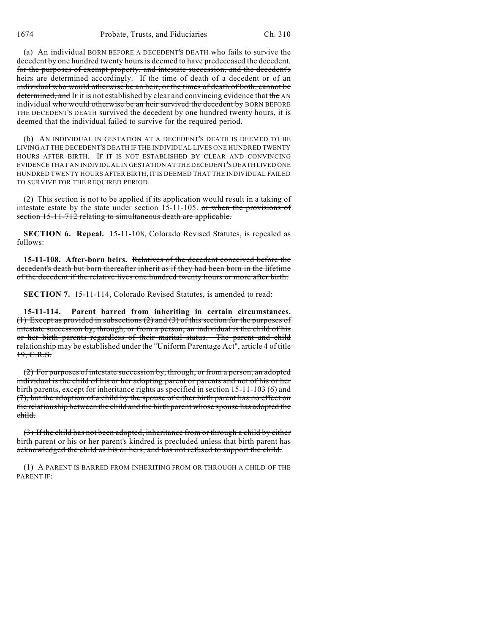(a) An individual BORN BEFORE A DECEDENT'S DEATH who fails to survive the decedent by one hundred twenty hours is deemed to have predeceased the decedent. for the purposes of exempt property, and intestate succession, and the decedent's heirs are determined accordingly. If the time of death of a decedent or of an individual who would otherwise be an heir, or the times of death of both, cannot be determined, and IF it is not established by clear and convincing evidence that the AN individual who would otherwise be an heir survived the decedent by BORN BEFORE THE DECEDENT'S DEATH survived the decedent by one hundred twenty hours, it is deemed that the individual failed to survive for the required period.

(b) AN INDIVIDUAL IN GESTATION AT A DECEDENT'S DEATH IS DEEMED TO BE LIVING AT THE DECEDENT'S DEATH IF THE INDIVIDUAL LIVES ONE HUNDRED TWENTY HOURS AFTER BIRTH. IF IT IS NOT ESTABLISHED BY CLEAR AND CONVINCING EVIDENCE THAT AN INDIVIDUAL IN GESTATION AT THE DECEDENT'S DEATH LIVED ONE HUNDRED TWENTY HOURS AFTER BIRTH, IT IS DEEMED THAT THE INDIVIDUAL FAILED TO SURVIVE FOR THE REQUIRED PERIOD.

(2) This section is not to be applied if its application would result in a taking of intestate estate by the state under section 15-11-105. or when the provisions of section 15-11-712 relating to simultaneous death are applicable.

**SECTION 6. Repeal.** 15-11-108, Colorado Revised Statutes, is repealed as follows:

**15-11-108. After-born heirs.** Relatives of the decedent conceived before the decedent's death but born thereafter inherit as if they had been born in the lifetime of the decedent if the relative lives one hundred twenty hours or more after birth.

**SECTION 7.** 15-11-114, Colorado Revised Statutes, is amended to read:

**15-11-114. Parent barred from inheriting in certain circumstances.** (1) Except as provided in subsections  $(2)$  and  $(3)$  of this section for the purposes of intestate succession by, through, or from a person, an individual is the child of his or her birth parents regardless of their marital status. The parent and child relationship may be established under the "Uniform Parentage Act", article 4 of title 19, C.R.S.

(2) For purposes of intestate succession by, through, or from a person, an adopted individual is the child of his or her adopting parent or parents and not of his or her birth parents, except for inheritance rights as specified in section 15-11-103 (6) and (7), but the adoption of a child by the spouse of either birth parent has no effect on the relationship between the child and the birth parent whose spouse has adopted the child.

(3) If the child has not been adopted, inheritance from or through a child by either birth parent or his or her parent's kindred is precluded unless that birth parent has acknowledged the child as his or hers, and has not refused to support the child.

(1) A PARENT IS BARRED FROM INHERITING FROM OR THROUGH A CHILD OF THE PARENT IF: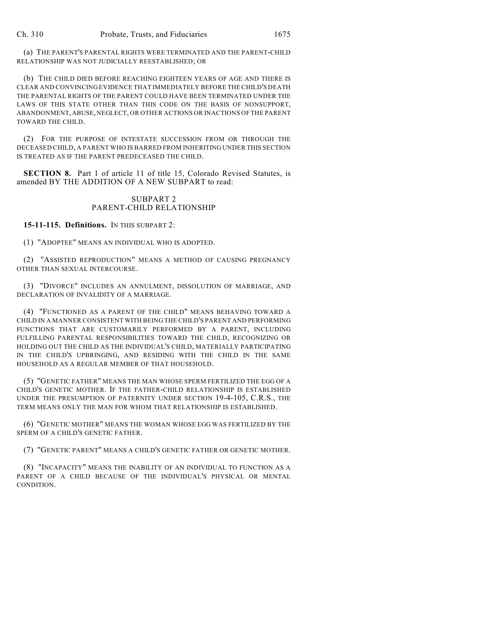(a) THE PARENT'S PARENTAL RIGHTS WERE TERMINATED AND THE PARENT-CHILD RELATIONSHIP WAS NOT JUDICIALLY REESTABLISHED; OR

(b) THE CHILD DIED BEFORE REACHING EIGHTEEN YEARS OF AGE AND THERE IS CLEAR AND CONVINCING EVIDENCE THAT IMMEDIATELY BEFORE THE CHILD'S DEATH THE PARENTAL RIGHTS OF THE PARENT COULD HAVE BEEN TERMINATED UNDER THE LAWS OF THIS STATE OTHER THAN THIS CODE ON THE BASIS OF NONSUPPORT, ABANDONMENT, ABUSE, NEGLECT, OR OTHER ACTIONS OR INACTIONS OF THE PARENT TOWARD THE CHILD.

(2) FOR THE PURPOSE OF INTESTATE SUCCESSION FROM OR THROUGH THE DECEASED CHILD, A PARENT WHO IS BARRED FROM INHERITING UNDER THIS SECTION IS TREATED AS IF THE PARENT PREDECEASED THE CHILD.

**SECTION 8.** Part 1 of article 11 of title 15, Colorado Revised Statutes, is amended BY THE ADDITION OF A NEW SUBPART to read:

## SUBPART 2 PARENT-CHILD RELATIONSHIP

**15-11-115. Definitions.** IN THIS SUBPART 2:

(1) "ADOPTEE" MEANS AN INDIVIDUAL WHO IS ADOPTED.

(2) "ASSISTED REPRODUCTION" MEANS A METHOD OF CAUSING PREGNANCY OTHER THAN SEXUAL INTERCOURSE.

(3) "DIVORCE" INCLUDES AN ANNULMENT, DISSOLUTION OF MARRIAGE, AND DECLARATION OF INVALIDITY OF A MARRIAGE.

(4) "FUNCTIONED AS A PARENT OF THE CHILD" MEANS BEHAVING TOWARD A CHILD IN A MANNER CONSISTENT WITH BEING THE CHILD'S PARENT AND PERFORMING FUNCTIONS THAT ARE CUSTOMARILY PERFORMED BY A PARENT, INCLUDING FULFILLING PARENTAL RESPONSIBILITIES TOWARD THE CHILD, RECOGNIZING OR HOLDING OUT THE CHILD AS THE INDIVIDUAL'S CHILD, MATERIALLY PARTICIPATING IN THE CHILD'S UPBRINGING, AND RESIDING WITH THE CHILD IN THE SAME HOUSEHOLD AS A REGULAR MEMBER OF THAT HOUSEHOLD.

(5) "GENETIC FATHER" MEANS THE MAN WHOSE SPERM FERTILIZED THE EGG OF A CHILD'S GENETIC MOTHER. IF THE FATHER-CHILD RELATIONSHIP IS ESTABLISHED UNDER THE PRESUMPTION OF PATERNITY UNDER SECTION 19-4-105, C.R.S., THE TERM MEANS ONLY THE MAN FOR WHOM THAT RELATIONSHIP IS ESTABLISHED.

(6) "GENETIC MOTHER" MEANS THE WOMAN WHOSE EGG WAS FERTILIZED BY THE SPERM OF A CHILD'S GENETIC FATHER.

(7) "GENETIC PARENT" MEANS A CHILD'S GENETIC FATHER OR GENETIC MOTHER.

(8) "INCAPACITY" MEANS THE INABILITY OF AN INDIVIDUAL TO FUNCTION AS A PARENT OF A CHILD BECAUSE OF THE INDIVIDUAL'S PHYSICAL OR MENTAL CONDITION.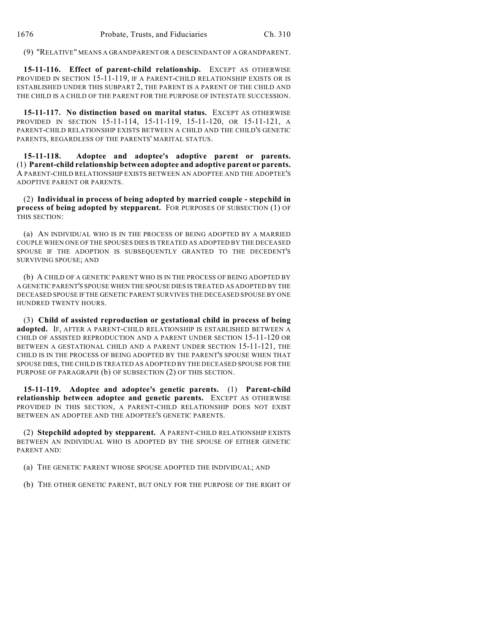(9) "RELATIVE" MEANS A GRANDPARENT OR A DESCENDANT OF A GRANDPARENT.

**15-11-116. Effect of parent-child relationship.** EXCEPT AS OTHERWISE PROVIDED IN SECTION 15-11-119, IF A PARENT-CHILD RELATIONSHIP EXISTS OR IS ESTABLISHED UNDER THIS SUBPART 2, THE PARENT IS A PARENT OF THE CHILD AND THE CHILD IS A CHILD OF THE PARENT FOR THE PURPOSE OF INTESTATE SUCCESSION.

**15-11-117. No distinction based on marital status.** EXCEPT AS OTHERWISE PROVIDED IN SECTION 15-11-114, 15-11-119, 15-11-120, OR 15-11-121, A PARENT-CHILD RELATIONSHIP EXISTS BETWEEN A CHILD AND THE CHILD'S GENETIC PARENTS, REGARDLESS OF THE PARENTS' MARITAL STATUS.

**15-11-118. Adoptee and adoptee's adoptive parent or parents.** (1) **Parent-child relationship between adoptee and adoptive parent or parents.** A PARENT-CHILD RELATIONSHIP EXISTS BETWEEN AN ADOPTEE AND THE ADOPTEE'S ADOPTIVE PARENT OR PARENTS.

(2) **Individual in process of being adopted by married couple - stepchild in process of being adopted by stepparent.** FOR PURPOSES OF SUBSECTION (1) OF THIS SECTION:

(a) AN INDIVIDUAL WHO IS IN THE PROCESS OF BEING ADOPTED BY A MARRIED COUPLE WHEN ONE OF THE SPOUSES DIES IS TREATED AS ADOPTED BY THE DECEASED SPOUSE IF THE ADOPTION IS SUBSEQUENTLY GRANTED TO THE DECEDENT'S SURVIVING SPOUSE; AND

(b) A CHILD OF A GENETIC PARENT WHO IS IN THE PROCESS OF BEING ADOPTED BY A GENETIC PARENT'S SPOUSE WHEN THE SPOUSE DIES IS TREATED AS ADOPTED BY THE DECEASED SPOUSE IF THE GENETIC PARENT SURVIVES THE DECEASED SPOUSE BY ONE HUNDRED TWENTY HOURS.

(3) **Child of assisted reproduction or gestational child in process of being adopted.** IF, AFTER A PARENT-CHILD RELATIONSHIP IS ESTABLISHED BETWEEN A CHILD OF ASSISTED REPRODUCTION AND A PARENT UNDER SECTION 15-11-120 OR BETWEEN A GESTATIONAL CHILD AND A PARENT UNDER SECTION 15-11-121, THE CHILD IS IN THE PROCESS OF BEING ADOPTED BY THE PARENT'S SPOUSE WHEN THAT SPOUSE DIES, THE CHILD IS TREATED AS ADOPTED BY THE DECEASED SPOUSE FOR THE PURPOSE OF PARAGRAPH (b) OF SUBSECTION (2) OF THIS SECTION.

**15-11-119. Adoptee and adoptee's genetic parents.** (1) **Parent-child relationship between adoptee and genetic parents.** EXCEPT AS OTHERWISE PROVIDED IN THIS SECTION, A PARENT-CHILD RELATIONSHIP DOES NOT EXIST BETWEEN AN ADOPTEE AND THE ADOPTEE'S GENETIC PARENTS.

(2) **Stepchild adopted by stepparent.** A PARENT-CHILD RELATIONSHIP EXISTS BETWEEN AN INDIVIDUAL WHO IS ADOPTED BY THE SPOUSE OF EITHER GENETIC PARENT AND:

(a) THE GENETIC PARENT WHOSE SPOUSE ADOPTED THE INDIVIDUAL; AND

(b) THE OTHER GENETIC PARENT, BUT ONLY FOR THE PURPOSE OF THE RIGHT OF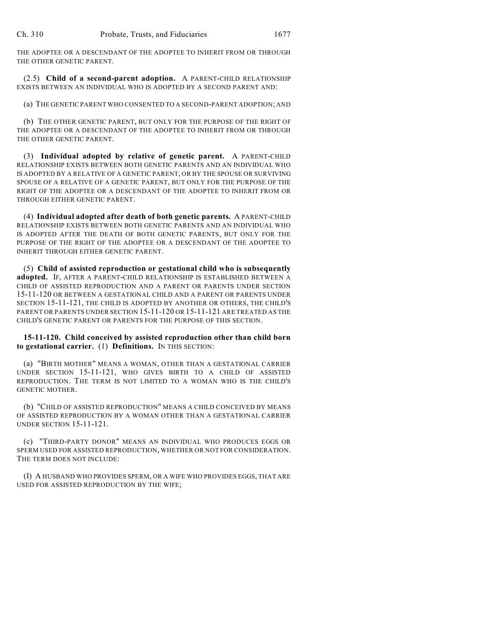THE ADOPTEE OR A DESCENDANT OF THE ADOPTEE TO INHERIT FROM OR THROUGH THE OTHER GENETIC PARENT.

(2.5) **Child of a second-parent adoption.** A PARENT-CHILD RELATIONSHIP EXISTS BETWEEN AN INDIVIDUAL WHO IS ADOPTED BY A SECOND PARENT AND:

(a) THE GENETIC PARENT WHO CONSENTED TO A SECOND-PARENT ADOPTION; AND

(b) THE OTHER GENETIC PARENT, BUT ONLY FOR THE PURPOSE OF THE RIGHT OF THE ADOPTEE OR A DESCENDANT OF THE ADOPTEE TO INHERIT FROM OR THROUGH THE OTHER GENETIC PARENT.

(3) **Individual adopted by relative of genetic parent.** A PARENT-CHILD RELATIONSHIP EXISTS BETWEEN BOTH GENETIC PARENTS AND AN INDIVIDUAL WHO IS ADOPTED BY A RELATIVE OF A GENETIC PARENT, OR BY THE SPOUSE OR SURVIVING SPOUSE OF A RELATIVE OF A GENETIC PARENT, BUT ONLY FOR THE PURPOSE OF THE RIGHT OF THE ADOPTEE OR A DESCENDANT OF THE ADOPTEE TO INHERIT FROM OR THROUGH EITHER GENETIC PARENT.

(4) **Individual adopted after death of both genetic parents.** A PARENT-CHILD RELATIONSHIP EXISTS BETWEEN BOTH GENETIC PARENTS AND AN INDIVIDUAL WHO IS ADOPTED AFTER THE DEATH OF BOTH GENETIC PARENTS, BUT ONLY FOR THE PURPOSE OF THE RIGHT OF THE ADOPTEE OR A DESCENDANT OF THE ADOPTEE TO INHERIT THROUGH EITHER GENETIC PARENT.

(5) **Child of assisted reproduction or gestational child who is subsequently adopted.** IF, AFTER A PARENT-CHILD RELATIONSHIP IS ESTABLISHED BETWEEN A CHILD OF ASSISTED REPRODUCTION AND A PARENT OR PARENTS UNDER SECTION 15-11-120 OR BETWEEN A GESTATIONAL CHILD AND A PARENT OR PARENTS UNDER SECTION 15-11-121, THE CHILD IS ADOPTED BY ANOTHER OR OTHERS, THE CHILD'S PARENT OR PARENTS UNDER SECTION 15-11-120 OR 15-11-121 ARE TREATED AS THE CHILD'S GENETIC PARENT OR PARENTS FOR THE PURPOSE OF THIS SECTION.

#### **15-11-120. Child conceived by assisted reproduction other than child born to gestational carrier.** (1) **Definitions.** IN THIS SECTION:

(a) "BIRTH MOTHER" MEANS A WOMAN, OTHER THAN A GESTATIONAL CARRIER UNDER SECTION 15-11-121, WHO GIVES BIRTH TO A CHILD OF ASSISTED REPRODUCTION. THE TERM IS NOT LIMITED TO A WOMAN WHO IS THE CHILD'S GENETIC MOTHER.

(b) "CHILD OF ASSISTED REPRODUCTION" MEANS A CHILD CONCEIVED BY MEANS OF ASSISTED REPRODUCTION BY A WOMAN OTHER THAN A GESTATIONAL CARRIER UNDER SECTION 15-11-121.

(c) "THIRD-PARTY DONOR" MEANS AN INDIVIDUAL WHO PRODUCES EGGS OR SPERM USED FOR ASSISTED REPRODUCTION, WHETHER OR NOT FOR CONSIDERATION. THE TERM DOES NOT INCLUDE:

(I) A HUSBAND WHO PROVIDES SPERM, OR A WIFE WHO PROVIDES EGGS, THAT ARE USED FOR ASSISTED REPRODUCTION BY THE WIFE;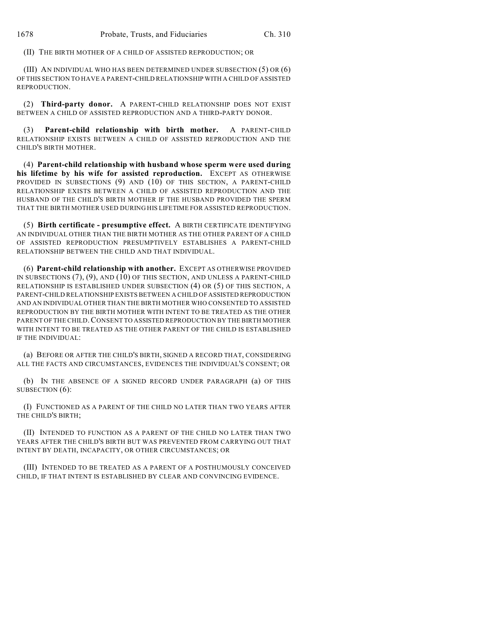(II) THE BIRTH MOTHER OF A CHILD OF ASSISTED REPRODUCTION; OR

(III) AN INDIVIDUAL WHO HAS BEEN DETERMINED UNDER SUBSECTION (5) OR (6) OF THIS SECTION TO HAVE A PARENT-CHILD RELATIONSHIP WITH A CHILD OF ASSISTED REPRODUCTION.

(2) **Third-party donor.** A PARENT-CHILD RELATIONSHIP DOES NOT EXIST BETWEEN A CHILD OF ASSISTED REPRODUCTION AND A THIRD-PARTY DONOR.

(3) **Parent-child relationship with birth mother.** A PARENT-CHILD RELATIONSHIP EXISTS BETWEEN A CHILD OF ASSISTED REPRODUCTION AND THE CHILD'S BIRTH MOTHER.

(4) **Parent-child relationship with husband whose sperm were used during his lifetime by his wife for assisted reproduction.** EXCEPT AS OTHERWISE PROVIDED IN SUBSECTIONS (9) AND (10) OF THIS SECTION, A PARENT-CHILD RELATIONSHIP EXISTS BETWEEN A CHILD OF ASSISTED REPRODUCTION AND THE HUSBAND OF THE CHILD'S BIRTH MOTHER IF THE HUSBAND PROVIDED THE SPERM THAT THE BIRTH MOTHER USED DURING HIS LIFETIME FOR ASSISTED REPRODUCTION.

(5) **Birth certificate - presumptive effect.** A BIRTH CERTIFICATE IDENTIFYING AN INDIVIDUAL OTHER THAN THE BIRTH MOTHER AS THE OTHER PARENT OF A CHILD OF ASSISTED REPRODUCTION PRESUMPTIVELY ESTABLISHES A PARENT-CHILD RELATIONSHIP BETWEEN THE CHILD AND THAT INDIVIDUAL.

(6) **Parent-child relationship with another.** EXCEPT AS OTHERWISE PROVIDED IN SUBSECTIONS (7), (9), AND (10) OF THIS SECTION, AND UNLESS A PARENT-CHILD RELATIONSHIP IS ESTABLISHED UNDER SUBSECTION (4) OR (5) OF THIS SECTION, A PARENT-CHILD RELATIONSHIP EXISTS BETWEEN A CHILD OF ASSISTED REPRODUCTION AND AN INDIVIDUAL OTHER THAN THE BIRTH MOTHER WHO CONSENTED TO ASSISTED REPRODUCTION BY THE BIRTH MOTHER WITH INTENT TO BE TREATED AS THE OTHER PARENT OF THE CHILD.CONSENT TO ASSISTED REPRODUCTION BY THE BIRTH MOTHER WITH INTENT TO BE TREATED AS THE OTHER PARENT OF THE CHILD IS ESTABLISHED IF THE INDIVIDUAL:

(a) BEFORE OR AFTER THE CHILD'S BIRTH, SIGNED A RECORD THAT, CONSIDERING ALL THE FACTS AND CIRCUMSTANCES, EVIDENCES THE INDIVIDUAL'S CONSENT; OR

(b) IN THE ABSENCE OF A SIGNED RECORD UNDER PARAGRAPH (a) OF THIS SUBSECTION (6):

(I) FUNCTIONED AS A PARENT OF THE CHILD NO LATER THAN TWO YEARS AFTER THE CHILD'S BIRTH;

(II) INTENDED TO FUNCTION AS A PARENT OF THE CHILD NO LATER THAN TWO YEARS AFTER THE CHILD'S BIRTH BUT WAS PREVENTED FROM CARRYING OUT THAT INTENT BY DEATH, INCAPACITY, OR OTHER CIRCUMSTANCES; OR

(III) INTENDED TO BE TREATED AS A PARENT OF A POSTHUMOUSLY CONCEIVED CHILD, IF THAT INTENT IS ESTABLISHED BY CLEAR AND CONVINCING EVIDENCE.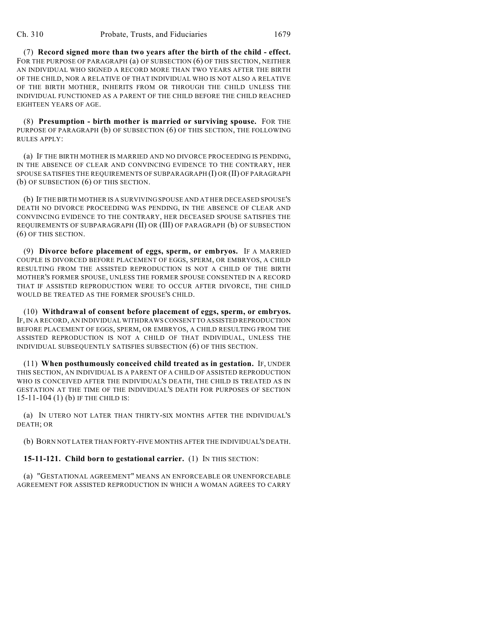(7) **Record signed more than two years after the birth of the child - effect.** FOR THE PURPOSE OF PARAGRAPH (a) OF SUBSECTION (6) OF THIS SECTION, NEITHER AN INDIVIDUAL WHO SIGNED A RECORD MORE THAN TWO YEARS AFTER THE BIRTH OF THE CHILD, NOR A RELATIVE OF THAT INDIVIDUAL WHO IS NOT ALSO A RELATIVE OF THE BIRTH MOTHER, INHERITS FROM OR THROUGH THE CHILD UNLESS THE INDIVIDUAL FUNCTIONED AS A PARENT OF THE CHILD BEFORE THE CHILD REACHED EIGHTEEN YEARS OF AGE.

(8) **Presumption - birth mother is married or surviving spouse.** FOR THE PURPOSE OF PARAGRAPH (b) OF SUBSECTION (6) OF THIS SECTION, THE FOLLOWING RULES APPLY:

(a) IF THE BIRTH MOTHER IS MARRIED AND NO DIVORCE PROCEEDING IS PENDING, IN THE ABSENCE OF CLEAR AND CONVINCING EVIDENCE TO THE CONTRARY, HER SPOUSE SATISFIES THE REQUIREMENTS OF SUBPARAGRAPH (I) OR (II) OF PARAGRAPH (b) OF SUBSECTION (6) OF THIS SECTION.

(b) IF THE BIRTH MOTHER IS A SURVIVING SPOUSE AND AT HER DECEASED SPOUSE'S DEATH NO DIVORCE PROCEEDING WAS PENDING, IN THE ABSENCE OF CLEAR AND CONVINCING EVIDENCE TO THE CONTRARY, HER DECEASED SPOUSE SATISFIES THE REQUIREMENTS OF SUBPARAGRAPH (II) OR (III) OF PARAGRAPH (b) OF SUBSECTION (6) OF THIS SECTION.

(9) **Divorce before placement of eggs, sperm, or embryos.** IF A MARRIED COUPLE IS DIVORCED BEFORE PLACEMENT OF EGGS, SPERM, OR EMBRYOS, A CHILD RESULTING FROM THE ASSISTED REPRODUCTION IS NOT A CHILD OF THE BIRTH MOTHER'S FORMER SPOUSE, UNLESS THE FORMER SPOUSE CONSENTED IN A RECORD THAT IF ASSISTED REPRODUCTION WERE TO OCCUR AFTER DIVORCE, THE CHILD WOULD BE TREATED AS THE FORMER SPOUSE'S CHILD.

(10) **Withdrawal of consent before placement of eggs, sperm, or embryos.** IF, IN A RECORD, AN INDIVIDUAL WITHDRAWS CONSENT TO ASSISTED REPRODUCTION BEFORE PLACEMENT OF EGGS, SPERM, OR EMBRYOS, A CHILD RESULTING FROM THE ASSISTED REPRODUCTION IS NOT A CHILD OF THAT INDIVIDUAL, UNLESS THE INDIVIDUAL SUBSEQUENTLY SATISFIES SUBSECTION (6) OF THIS SECTION.

(11) **When posthumously conceived child treated as in gestation.** IF, UNDER THIS SECTION, AN INDIVIDUAL IS A PARENT OF A CHILD OF ASSISTED REPRODUCTION WHO IS CONCEIVED AFTER THE INDIVIDUAL'S DEATH, THE CHILD IS TREATED AS IN GESTATION AT THE TIME OF THE INDIVIDUAL'S DEATH FOR PURPOSES OF SECTION 15-11-104 (1) (b) IF THE CHILD IS:

(a) IN UTERO NOT LATER THAN THIRTY-SIX MONTHS AFTER THE INDIVIDUAL'S DEATH; OR

(b) BORN NOT LATER THAN FORTY-FIVE MONTHS AFTER THE INDIVIDUAL'S DEATH.

**15-11-121. Child born to gestational carrier.** (1) IN THIS SECTION:

(a) "GESTATIONAL AGREEMENT" MEANS AN ENFORCEABLE OR UNENFORCEABLE AGREEMENT FOR ASSISTED REPRODUCTION IN WHICH A WOMAN AGREES TO CARRY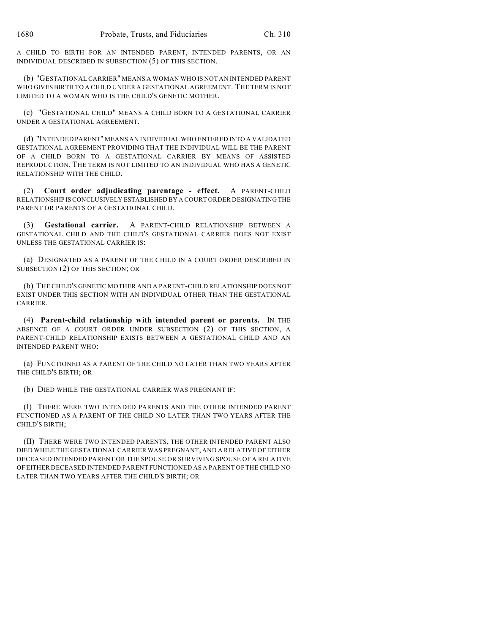A CHILD TO BIRTH FOR AN INTENDED PARENT, INTENDED PARENTS, OR AN INDIVIDUAL DESCRIBED IN SUBSECTION (5) OF THIS SECTION.

(b) "GESTATIONAL CARRIER" MEANS A WOMAN WHO IS NOT AN INTENDED PARENT WHO GIVES BIRTH TO A CHILD UNDER A GESTATIONAL AGREEMENT. THE TERM IS NOT LIMITED TO A WOMAN WHO IS THE CHILD'S GENETIC MOTHER.

(c) "GESTATIONAL CHILD" MEANS A CHILD BORN TO A GESTATIONAL CARRIER UNDER A GESTATIONAL AGREEMENT.

(d) "INTENDED PARENT" MEANS AN INDIVIDUAL WHO ENTERED INTO A VALIDATED GESTATIONAL AGREEMENT PROVIDING THAT THE INDIVIDUAL WILL BE THE PARENT OF A CHILD BORN TO A GESTATIONAL CARRIER BY MEANS OF ASSISTED REPRODUCTION. THE TERM IS NOT LIMITED TO AN INDIVIDUAL WHO HAS A GENETIC RELATIONSHIP WITH THE CHILD.

(2) **Court order adjudicating parentage - effect.** A PARENT-CHILD RELATIONSHIP IS CONCLUSIVELY ESTABLISHED BY A COURT ORDER DESIGNATING THE PARENT OR PARENTS OF A GESTATIONAL CHILD.

(3) **Gestational carrier.** A PARENT-CHILD RELATIONSHIP BETWEEN A GESTATIONAL CHILD AND THE CHILD'S GESTATIONAL CARRIER DOES NOT EXIST UNLESS THE GESTATIONAL CARRIER IS:

(a) DESIGNATED AS A PARENT OF THE CHILD IN A COURT ORDER DESCRIBED IN SUBSECTION (2) OF THIS SECTION; OR

(b) THE CHILD'S GENETIC MOTHER AND A PARENT-CHILD RELATIONSHIP DOES NOT EXIST UNDER THIS SECTION WITH AN INDIVIDUAL OTHER THAN THE GESTATIONAL CARRIER.

(4) **Parent-child relationship with intended parent or parents.** IN THE ABSENCE OF A COURT ORDER UNDER SUBSECTION (2) OF THIS SECTION, A PARENT-CHILD RELATIONSHIP EXISTS BETWEEN A GESTATIONAL CHILD AND AN INTENDED PARENT WHO:

(a) FUNCTIONED AS A PARENT OF THE CHILD NO LATER THAN TWO YEARS AFTER THE CHILD'S BIRTH; OR

(b) DIED WHILE THE GESTATIONAL CARRIER WAS PREGNANT IF:

(I) THERE WERE TWO INTENDED PARENTS AND THE OTHER INTENDED PARENT FUNCTIONED AS A PARENT OF THE CHILD NO LATER THAN TWO YEARS AFTER THE CHILD'S BIRTH;

(II) THERE WERE TWO INTENDED PARENTS, THE OTHER INTENDED PARENT ALSO DIED WHILE THE GESTATIONAL CARRIER WAS PREGNANT, AND A RELATIVE OF EITHER DECEASED INTENDED PARENT OR THE SPOUSE OR SURVIVING SPOUSE OF A RELATIVE OF EITHER DECEASED INTENDED PARENT FUNCTIONED AS A PARENT OF THE CHILD NO LATER THAN TWO YEARS AFTER THE CHILD'S BIRTH; OR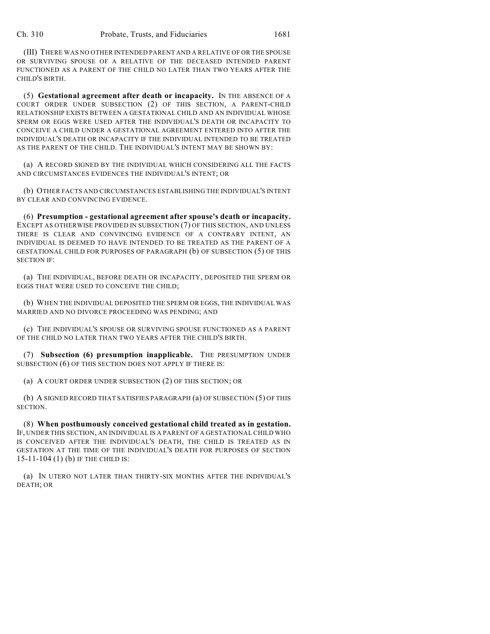(III) THERE WAS NO OTHER INTENDED PARENT AND A RELATIVE OF OR THE SPOUSE OR SURVIVING SPOUSE OF A RELATIVE OF THE DECEASED INTENDED PARENT FUNCTIONED AS A PARENT OF THE CHILD NO LATER THAN TWO YEARS AFTER THE CHILD'S BIRTH.

(5) **Gestational agreement after death or incapacity.** IN THE ABSENCE OF A COURT ORDER UNDER SUBSECTION (2) OF THIS SECTION, A PARENT-CHILD RELATIONSHIP EXISTS BETWEEN A GESTATIONAL CHILD AND AN INDIVIDUAL WHOSE SPERM OR EGGS WERE USED AFTER THE INDIVIDUAL'S DEATH OR INCAPACITY TO CONCEIVE A CHILD UNDER A GESTATIONAL AGREEMENT ENTERED INTO AFTER THE INDIVIDUAL'S DEATH OR INCAPACITY IF THE INDIVIDUAL INTENDED TO BE TREATED AS THE PARENT OF THE CHILD. THE INDIVIDUAL'S INTENT MAY BE SHOWN BY:

(a) A RECORD SIGNED BY THE INDIVIDUAL WHICH CONSIDERING ALL THE FACTS AND CIRCUMSTANCES EVIDENCES THE INDIVIDUAL'S INTENT; OR

(b) OTHER FACTS AND CIRCUMSTANCES ESTABLISHING THE INDIVIDUAL'S INTENT BY CLEAR AND CONVINCING EVIDENCE.

(6) **Presumption - gestational agreement after spouse's death or incapacity.** EXCEPT AS OTHERWISE PROVIDED IN SUBSECTION (7) OF THIS SECTION, AND UNLESS THERE IS CLEAR AND CONVINCING EVIDENCE OF A CONTRARY INTENT, AN INDIVIDUAL IS DEEMED TO HAVE INTENDED TO BE TREATED AS THE PARENT OF A GESTATIONAL CHILD FOR PURPOSES OF PARAGRAPH (b) OF SUBSECTION (5) OF THIS SECTION IF:

(a) THE INDIVIDUAL, BEFORE DEATH OR INCAPACITY, DEPOSITED THE SPERM OR EGGS THAT WERE USED TO CONCEIVE THE CHILD;

(b) WHEN THE INDIVIDUAL DEPOSITED THE SPERM OR EGGS, THE INDIVIDUAL WAS MARRIED AND NO DIVORCE PROCEEDING WAS PENDING; AND

(c) THE INDIVIDUAL'S SPOUSE OR SURVIVING SPOUSE FUNCTIONED AS A PARENT OF THE CHILD NO LATER THAN TWO YEARS AFTER THE CHILD'S BIRTH.

(7) **Subsection (6) presumption inapplicable.** THE PRESUMPTION UNDER SUBSECTION (6) OF THIS SECTION DOES NOT APPLY IF THERE IS:

(a) A COURT ORDER UNDER SUBSECTION (2) OF THIS SECTION; OR

(b) A SIGNED RECORD THAT SATISFIES PARAGRAPH (a) OF SUBSECTION (5) OF THIS SECTION.

(8) **When posthumously conceived gestational child treated as in gestation.** IF, UNDER THIS SECTION, AN INDIVIDUAL IS A PARENT OF A GESTATIONAL CHILD WHO IS CONCEIVED AFTER THE INDIVIDUAL'S DEATH, THE CHILD IS TREATED AS IN GESTATION AT THE TIME OF THE INDIVIDUAL'S DEATH FOR PURPOSES OF SECTION 15-11-104 (1) (b) IF THE CHILD IS:

(a) IN UTERO NOT LATER THAN THIRTY-SIX MONTHS AFTER THE INDIVIDUAL'S DEATH; OR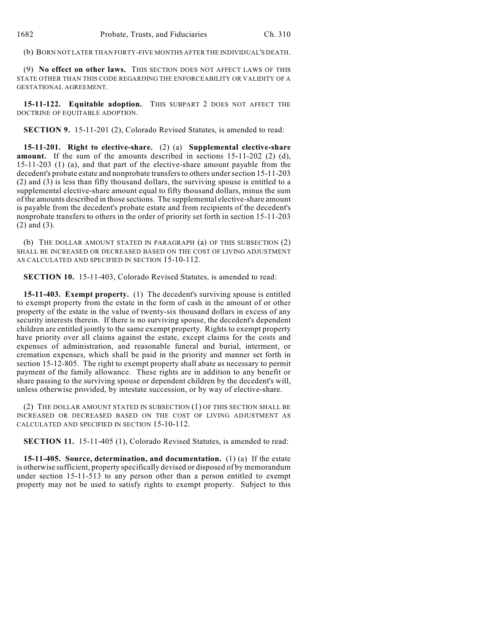(b) BORN NOT LATER THAN FORTY-FIVE MONTHS AFTER THE INDIVIDUAL'S DEATH.

(9) **No effect on other laws.** THIS SECTION DOES NOT AFFECT LAWS OF THIS STATE OTHER THAN THIS CODE REGARDING THE ENFORCEABILITY OR VALIDITY OF A GESTATIONAL AGREEMENT.

**15-11-122. Equitable adoption.** THIS SUBPART 2 DOES NOT AFFECT THE DOCTRINE OF EQUITABLE ADOPTION.

**SECTION 9.** 15-11-201 (2), Colorado Revised Statutes, is amended to read:

**15-11-201. Right to elective-share.** (2) (a) **Supplemental elective-share amount.** If the sum of the amounts described in sections 15-11-202 (2) (d), 15-11-203 (1) (a), and that part of the elective-share amount payable from the decedent's probate estate and nonprobate transfers to others under section 15-11-203 (2) and (3) is less than fifty thousand dollars, the surviving spouse is entitled to a supplemental elective-share amount equal to fifty thousand dollars, minus the sum of the amounts described in those sections. The supplemental elective-share amount is payable from the decedent's probate estate and from recipients of the decedent's nonprobate transfers to others in the order of priority set forth in section 15-11-203 (2) and (3).

(b) THE DOLLAR AMOUNT STATED IN PARAGRAPH (a) OF THIS SUBSECTION (2) SHALL BE INCREASED OR DECREASED BASED ON THE COST OF LIVING ADJUSTMENT AS CALCULATED AND SPECIFIED IN SECTION 15-10-112.

**SECTION 10.** 15-11-403, Colorado Revised Statutes, is amended to read:

**15-11-403. Exempt property.** (1) The decedent's surviving spouse is entitled to exempt property from the estate in the form of cash in the amount of or other property of the estate in the value of twenty-six thousand dollars in excess of any security interests therein. If there is no surviving spouse, the decedent's dependent children are entitled jointly to the same exempt property. Rights to exempt property have priority over all claims against the estate, except claims for the costs and expenses of administration, and reasonable funeral and burial, interment, or cremation expenses, which shall be paid in the priority and manner set forth in section 15-12-805. The right to exempt property shall abate as necessary to permit payment of the family allowance. These rights are in addition to any benefit or share passing to the surviving spouse or dependent children by the decedent's will, unless otherwise provided, by intestate succession, or by way of elective-share.

(2) THE DOLLAR AMOUNT STATED IN SUBSECTION (1) OF THIS SECTION SHALL BE INCREASED OR DECREASED BASED ON THE COST OF LIVING ADJUSTMENT AS CALCULATED AND SPECIFIED IN SECTION 15-10-112.

**SECTION 11.** 15-11-405 (1), Colorado Revised Statutes, is amended to read:

**15-11-405. Source, determination, and documentation.** (1) (a) If the estate is otherwise sufficient, property specifically devised or disposed of by memorandum under section 15-11-513 to any person other than a person entitled to exempt property may not be used to satisfy rights to exempt property. Subject to this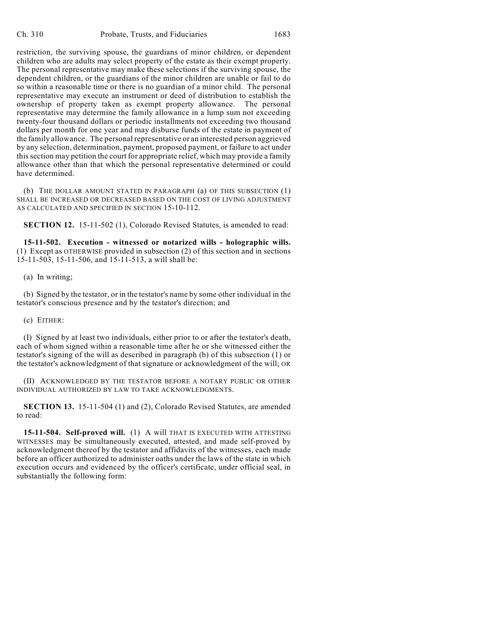restriction, the surviving spouse, the guardians of minor children, or dependent children who are adults may select property of the estate as their exempt property. The personal representative may make these selections if the surviving spouse, the dependent children, or the guardians of the minor children are unable or fail to do so within a reasonable time or there is no guardian of a minor child. The personal representative may execute an instrument or deed of distribution to establish the ownership of property taken as exempt property allowance. The personal representative may determine the family allowance in a lump sum not exceeding twenty-four thousand dollars or periodic installments not exceeding two thousand dollars per month for one year and may disburse funds of the estate in payment of the family allowance. The personal representative or an interested person aggrieved by any selection, determination, payment, proposed payment, or failure to act under this section may petition the court for appropriate relief, which may provide a family allowance other than that which the personal representative determined or could have determined.

(b) THE DOLLAR AMOUNT STATED IN PARAGRAPH (a) OF THIS SUBSECTION (1) SHALL BE INCREASED OR DECREASED BASED ON THE COST OF LIVING ADJUSTMENT AS CALCULATED AND SPECIFIED IN SECTION 15-10-112.

**SECTION 12.** 15-11-502 (1), Colorado Revised Statutes, is amended to read:

**15-11-502. Execution - witnessed or notarized wills - holographic wills.** (1) Except as OTHERWISE provided in subsection (2) of this section and in sections 15-11-503, 15-11-506, and 15-11-513, a will shall be:

(a) In writing;

(b) Signed by the testator, or in the testator's name by some other individual in the testator's conscious presence and by the testator's direction; and

(c) EITHER:

(I) Signed by at least two individuals, either prior to or after the testator's death, each of whom signed within a reasonable time after he or she witnessed either the testator's signing of the will as described in paragraph (b) of this subsection (1) or the testator's acknowledgment of that signature or acknowledgment of the will; OR

(II) ACKNOWLEDGED BY THE TESTATOR BEFORE A NOTARY PUBLIC OR OTHER INDIVIDUAL AUTHORIZED BY LAW TO TAKE ACKNOWLEDGMENTS.

**SECTION 13.** 15-11-504 (1) and (2), Colorado Revised Statutes, are amended to read:

**15-11-504. Self-proved will.** (1) A will THAT IS EXECUTED WITH ATTESTING WITNESSES may be simultaneously executed, attested, and made self-proved by acknowledgment thereof by the testator and affidavits of the witnesses, each made before an officer authorized to administer oaths under the laws of the state in which execution occurs and evidenced by the officer's certificate, under official seal, in substantially the following form: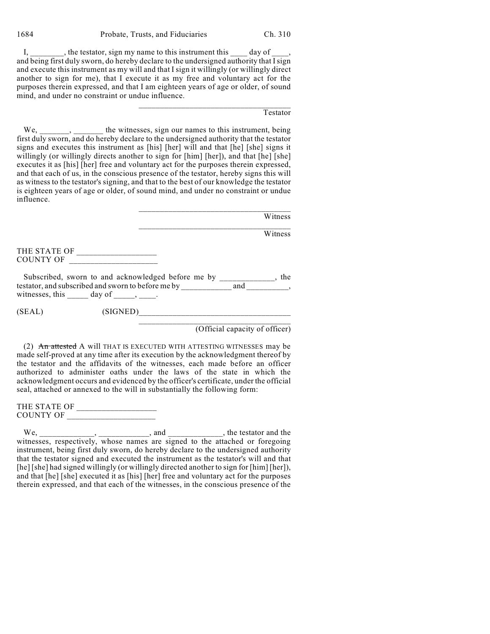1684 Probate, Trusts, and Fiduciaries Ch. 310

I, the testator, sign my name to this instrument this day of and being first duly sworn, do hereby declare to the undersigned authority that  $\overline{I}$  sign and execute this instrument as my will and that I sign it willingly (or willingly direct another to sign for me), that I execute it as my free and voluntary act for the purposes therein expressed, and that I am eighteen years of age or older, of sound mind, and under no constraint or undue influence.

#### Testator

We, \_\_\_\_\_\_, \_\_\_\_\_\_\_ the witnesses, sign our names to this instrument, being first duly sworn, and do hereby declare to the undersigned authority that the testator signs and executes this instrument as [his] [her] will and that [he] [she] signs it willingly (or willingly directs another to sign for [him] [her]), and that [he] [she] executes it as [his] [her] free and voluntary act for the purposes therein expressed, and that each of us, in the conscious presence of the testator, hereby signs this will as witness to the testator's signing, and that to the best of our knowledge the testator is eighteen years of age or older, of sound mind, and under no constraint or undue influence.

| Witness |
|---------|
|         |

 $\mathcal{L}_\text{max}$  and  $\mathcal{L}_\text{max}$  and  $\mathcal{L}_\text{max}$  and  $\mathcal{L}_\text{max}$ 

**Witness** 

THE STATE OF \_\_\_\_\_\_\_\_\_\_\_\_\_\_\_\_\_\_\_ COUNTY OF \_\_\_\_\_\_\_\_\_\_\_\_\_\_\_\_\_\_\_\_\_

Subscribed, sworn to and acknowledged before me by \_\_\_\_\_\_\_\_\_\_\_\_, the testator, and subscribed and sworn to before me by \_\_\_\_\_\_\_\_\_\_\_\_\_\_\_\_\_ and \_\_\_\_\_\_\_\_\_\_, witnesses, this  $\frac{1}{\sqrt{2}}$  day of  $\frac{1}{\sqrt{2}}$ .

(SEAL) (SIGNED)\_\_\_\_\_\_\_\_\_\_\_\_\_\_\_\_\_\_\_\_\_\_\_\_\_\_\_\_\_\_\_\_\_\_\_\_

 $\mathcal{L}_\text{max}$  and  $\mathcal{L}_\text{max}$  and  $\mathcal{L}_\text{max}$  and  $\mathcal{L}_\text{max}$ (Official capacity of officer)

(2) An attested A will THAT IS EXECUTED WITH ATTESTING WITNESSES may be made self-proved at any time after its execution by the acknowledgment thereof by the testator and the affidavits of the witnesses, each made before an officer authorized to administer oaths under the laws of the state in which the acknowledgment occurs and evidenced by the officer's certificate, under the official seal, attached or annexed to the will in substantially the following form:

THE STATE OF \_\_\_\_\_\_\_\_\_\_\_\_\_\_\_\_\_\_\_ COUNTY OF \_\_\_\_\_\_\_\_\_\_\_\_\_\_\_\_\_\_\_\_\_

We, \_\_\_\_\_\_\_\_\_\_\_\_\_, \_\_\_\_\_\_\_\_\_\_\_, and \_\_\_\_\_\_\_\_\_\_\_\_, the testator and the witnesses, respectively, whose names are signed to the attached or foregoing instrument, being first duly sworn, do hereby declare to the undersigned authority that the testator signed and executed the instrument as the testator's will and that [he] [she] had signed willingly (or willingly directed another to sign for [him] [her]), and that [he] [she] executed it as [his] [her] free and voluntary act for the purposes therein expressed, and that each of the witnesses, in the conscious presence of the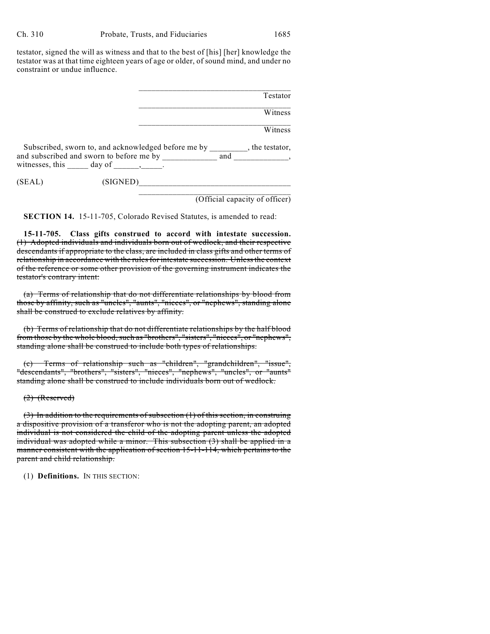testator, signed the will as witness and that to the best of [his] [her] knowledge the testator was at that time eighteen years of age or older, of sound mind, and under no constraint or undue influence.

|                                                                                                                                               |          |     | Testator                       |
|-----------------------------------------------------------------------------------------------------------------------------------------------|----------|-----|--------------------------------|
|                                                                                                                                               |          |     |                                |
|                                                                                                                                               |          |     | Witness                        |
|                                                                                                                                               |          |     | Witness                        |
| Subscribed, sworn to, and acknowledged before me by , the testator,<br>and subscribed and sworn to before me by<br>witnesses, this day of , . |          | and |                                |
| (SEAL)                                                                                                                                        | (SIGNED) |     |                                |
|                                                                                                                                               |          |     | (Official capacity of officer) |

**SECTION 14.** 15-11-705, Colorado Revised Statutes, is amended to read:

**15-11-705. Class gifts construed to accord with intestate succession.** (1) Adopted individuals and individuals born out of wedlock, and their respective descendants if appropriate to the class, are included in class gifts and other terms of relationship in accordance with the rules for intestate succession. Unless the context of the reference or some other provision of the governing instrument indicates the testator's contrary intent:

(a) Terms of relationship that do not differentiate relationships by blood from those by affinity, such as "uncles", "aunts", "nieces", or "nephews", standing alone shall be construed to exclude relatives by affinity.

(b) Terms of relationship that do not differentiate relationships by the half blood from those by the whole blood, such as "brothers", "sisters", "nieces", or "nephews", standing alone shall be construed to include both types of relationships.

(c) Terms of relationship such as "children", "grandchildren", "issue", "descendants", "brothers", "sisters", "nieces", "nephews", "uncles", or "aunts" standing alone shall be construed to include individuals born out of wedlock.

(2) (Reserved)

(3) In addition to the requirements of subsection (1) of this section, in construing a dispositive provision of a transferor who is not the adopting parent, an adopted individual is not considered the child of the adopting parent unless the adopted individual was adopted while a minor. This subsection (3) shall be applied in a manner consistent with the application of section 15-11-114, which pertains to the parent and child relationship.

(1) **Definitions.** IN THIS SECTION: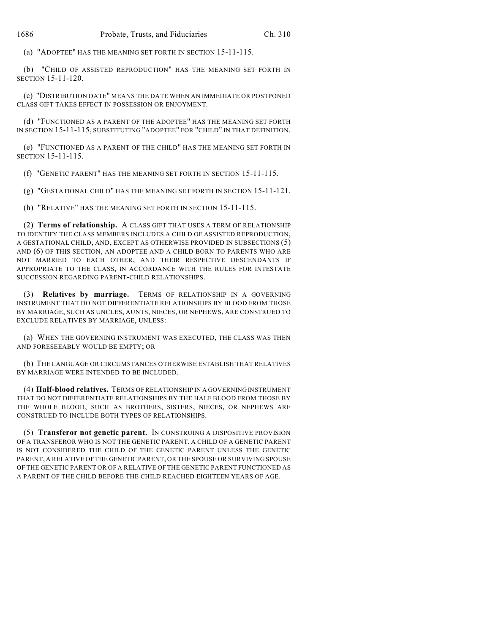(a) "ADOPTEE" HAS THE MEANING SET FORTH IN SECTION 15-11-115.

(b) "CHILD OF ASSISTED REPRODUCTION" HAS THE MEANING SET FORTH IN SECTION 15-11-120.

(c) "DISTRIBUTION DATE" MEANS THE DATE WHEN AN IMMEDIATE OR POSTPONED CLASS GIFT TAKES EFFECT IN POSSESSION OR ENJOYMENT.

(d) "FUNCTIONED AS A PARENT OF THE ADOPTEE" HAS THE MEANING SET FORTH IN SECTION 15-11-115, SUBSTITUTING "ADOPTEE" FOR "CHILD" IN THAT DEFINITION.

(e) "FUNCTIONED AS A PARENT OF THE CHILD" HAS THE MEANING SET FORTH IN SECTION 15-11-115.

(f) "GENETIC PARENT" HAS THE MEANING SET FORTH IN SECTION 15-11-115.

(g) "GESTATIONAL CHILD" HAS THE MEANING SET FORTH IN SECTION 15-11-121.

(h) "RELATIVE" HAS THE MEANING SET FORTH IN SECTION 15-11-115.

(2) **Terms of relationship.** A CLASS GIFT THAT USES A TERM OF RELATIONSHIP TO IDENTIFY THE CLASS MEMBERS INCLUDES A CHILD OF ASSISTED REPRODUCTION, A GESTATIONAL CHILD, AND, EXCEPT AS OTHERWISE PROVIDED IN SUBSECTIONS (5) AND (6) OF THIS SECTION, AN ADOPTEE AND A CHILD BORN TO PARENTS WHO ARE NOT MARRIED TO EACH OTHER, AND THEIR RESPECTIVE DESCENDANTS IF APPROPRIATE TO THE CLASS, IN ACCORDANCE WITH THE RULES FOR INTESTATE SUCCESSION REGARDING PARENT-CHILD RELATIONSHIPS.

(3) **Relatives by marriage.** TERMS OF RELATIONSHIP IN A GOVERNING INSTRUMENT THAT DO NOT DIFFERENTIATE RELATIONSHIPS BY BLOOD FROM THOSE BY MARRIAGE, SUCH AS UNCLES, AUNTS, NIECES, OR NEPHEWS, ARE CONSTRUED TO EXCLUDE RELATIVES BY MARRIAGE, UNLESS:

(a) WHEN THE GOVERNING INSTRUMENT WAS EXECUTED, THE CLASS WAS THEN AND FORESEEABLY WOULD BE EMPTY; OR

(b) THE LANGUAGE OR CIRCUMSTANCES OTHERWISE ESTABLISH THAT RELATIVES BY MARRIAGE WERE INTENDED TO BE INCLUDED.

(4) **Half-blood relatives.** TERMS OF RELATIONSHIP IN A GOVERNING INSTRUMENT THAT DO NOT DIFFERENTIATE RELATIONSHIPS BY THE HALF BLOOD FROM THOSE BY THE WHOLE BLOOD, SUCH AS BROTHERS, SISTERS, NIECES, OR NEPHEWS ARE CONSTRUED TO INCLUDE BOTH TYPES OF RELATIONSHIPS.

(5) **Transferor not genetic parent.** IN CONSTRUING A DISPOSITIVE PROVISION OF A TRANSFEROR WHO IS NOT THE GENETIC PARENT, A CHILD OF A GENETIC PARENT IS NOT CONSIDERED THE CHILD OF THE GENETIC PARENT UNLESS THE GENETIC PARENT, A RELATIVE OF THE GENETIC PARENT, OR THE SPOUSE OR SURVIVING SPOUSE OF THE GENETIC PARENT OR OF A RELATIVE OF THE GENETIC PARENT FUNCTIONED AS A PARENT OF THE CHILD BEFORE THE CHILD REACHED EIGHTEEN YEARS OF AGE.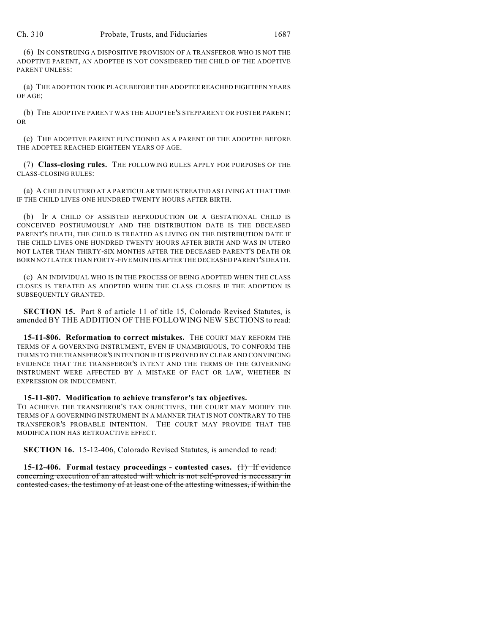(6) IN CONSTRUING A DISPOSITIVE PROVISION OF A TRANSFEROR WHO IS NOT THE ADOPTIVE PARENT, AN ADOPTEE IS NOT CONSIDERED THE CHILD OF THE ADOPTIVE PARENT UNLESS:

(a) THE ADOPTION TOOK PLACE BEFORE THE ADOPTEE REACHED EIGHTEEN YEARS OF AGE;

(b) THE ADOPTIVE PARENT WAS THE ADOPTEE'S STEPPARENT OR FOSTER PARENT; OR

(c) THE ADOPTIVE PARENT FUNCTIONED AS A PARENT OF THE ADOPTEE BEFORE THE ADOPTEE REACHED EIGHTEEN YEARS OF AGE.

(7) **Class-closing rules.** THE FOLLOWING RULES APPLY FOR PURPOSES OF THE CLASS-CLOSING RULES:

(a) A CHILD IN UTERO AT A PARTICULAR TIME IS TREATED AS LIVING AT THAT TIME IF THE CHILD LIVES ONE HUNDRED TWENTY HOURS AFTER BIRTH.

(b) IF A CHILD OF ASSISTED REPRODUCTION OR A GESTATIONAL CHILD IS CONCEIVED POSTHUMOUSLY AND THE DISTRIBUTION DATE IS THE DECEASED PARENT'S DEATH, THE CHILD IS TREATED AS LIVING ON THE DISTRIBUTION DATE IF THE CHILD LIVES ONE HUNDRED TWENTY HOURS AFTER BIRTH AND WAS IN UTERO NOT LATER THAN THIRTY-SIX MONTHS AFTER THE DECEASED PARENT'S DEATH OR BORN NOT LATER THAN FORTY-FIVE MONTHS AFTER THE DECEASED PARENT'S DEATH.

(c) AN INDIVIDUAL WHO IS IN THE PROCESS OF BEING ADOPTED WHEN THE CLASS CLOSES IS TREATED AS ADOPTED WHEN THE CLASS CLOSES IF THE ADOPTION IS SUBSEQUENTLY GRANTED.

**SECTION 15.** Part 8 of article 11 of title 15, Colorado Revised Statutes, is amended BY THE ADDITION OF THE FOLLOWING NEW SECTIONS to read:

**15-11-806. Reformation to correct mistakes.** THE COURT MAY REFORM THE TERMS OF A GOVERNING INSTRUMENT, EVEN IF UNAMBIGUOUS, TO CONFORM THE TERMS TO THE TRANSFEROR'S INTENTION IF IT IS PROVED BY CLEAR AND CONVINCING EVIDENCE THAT THE TRANSFEROR'S INTENT AND THE TERMS OF THE GOVERNING INSTRUMENT WERE AFFECTED BY A MISTAKE OF FACT OR LAW, WHETHER IN EXPRESSION OR INDUCEMENT.

**15-11-807. Modification to achieve transferor's tax objectives.**

TO ACHIEVE THE TRANSFEROR'S TAX OBJECTIVES, THE COURT MAY MODIFY THE TERMS OF A GOVERNING INSTRUMENT IN A MANNER THAT IS NOT CONTRARY TO THE TRANSFEROR'S PROBABLE INTENTION. THE COURT MAY PROVIDE THAT THE MODIFICATION HAS RETROACTIVE EFFECT.

**SECTION 16.** 15-12-406, Colorado Revised Statutes, is amended to read:

**15-12-406. Formal testacy proceedings - contested cases.** (1) If evidence concerning execution of an attested will which is not self-proved is necessary in contested cases, the testimony of at least one of the attesting witnesses, if within the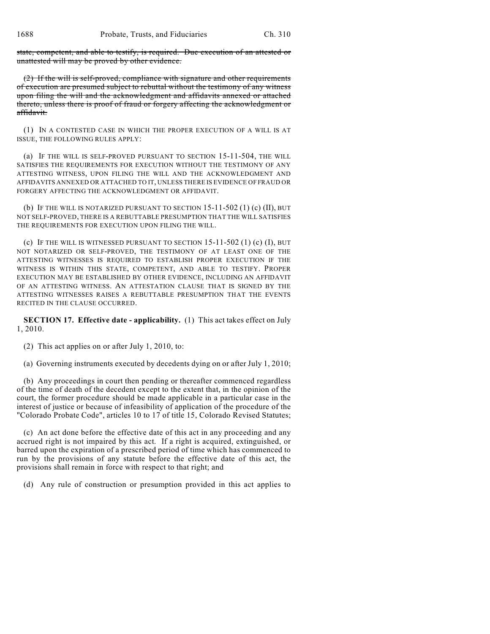state, competent, and able to testify, is required. Due execution of an attested or unattested will may be proved by other evidence.

(2) If the will is self-proved, compliance with signature and other requirements of execution are presumed subject to rebuttal without the testimony of any witness upon filing the will and the acknowledgment and affidavits annexed or attached thereto, unless there is proof of fraud or forgery affecting the acknowledgment or affidavit.

(1) IN A CONTESTED CASE IN WHICH THE PROPER EXECUTION OF A WILL IS AT ISSUE, THE FOLLOWING RULES APPLY:

(a) IF THE WILL IS SELF-PROVED PURSUANT TO SECTION 15-11-504, THE WILL SATISFIES THE REQUIREMENTS FOR EXECUTION WITHOUT THE TESTIMONY OF ANY ATTESTING WITNESS, UPON FILING THE WILL AND THE ACKNOWLEDGMENT AND AFFIDAVITS ANNEXED OR ATTACHED TO IT, UNLESS THERE IS EVIDENCE OF FRAUD OR FORGERY AFFECTING THE ACKNOWLEDGMENT OR AFFIDAVIT.

(b) IF THE WILL IS NOTARIZED PURSUANT TO SECTION  $15-11-502$  (1) (c) (II), BUT NOT SELF-PROVED, THERE IS A REBUTTABLE PRESUMPTION THAT THE WILL SATISFIES THE REQUIREMENTS FOR EXECUTION UPON FILING THE WILL.

(c) IF THE WILL IS WITNESSED PURSUANT TO SECTION  $15-11-502$  (1) (c) (I), BUT NOT NOTARIZED OR SELF-PROVED, THE TESTIMONY OF AT LEAST ONE OF THE ATTESTING WITNESSES IS REQUIRED TO ESTABLISH PROPER EXECUTION IF THE WITNESS IS WITHIN THIS STATE, COMPETENT, AND ABLE TO TESTIFY. PROPER EXECUTION MAY BE ESTABLISHED BY OTHER EVIDENCE, INCLUDING AN AFFIDAVIT OF AN ATTESTING WITNESS. AN ATTESTATION CLAUSE THAT IS SIGNED BY THE ATTESTING WITNESSES RAISES A REBUTTABLE PRESUMPTION THAT THE EVENTS RECITED IN THE CLAUSE OCCURRED.

**SECTION 17. Effective date - applicability.** (1) This act takes effect on July 1, 2010.

(2) This act applies on or after July 1, 2010, to:

(a) Governing instruments executed by decedents dying on or after July 1, 2010;

(b) Any proceedings in court then pending or thereafter commenced regardless of the time of death of the decedent except to the extent that, in the opinion of the court, the former procedure should be made applicable in a particular case in the interest of justice or because of infeasibility of application of the procedure of the "Colorado Probate Code", articles 10 to 17 of title 15, Colorado Revised Statutes;

(c) An act done before the effective date of this act in any proceeding and any accrued right is not impaired by this act. If a right is acquired, extinguished, or barred upon the expiration of a prescribed period of time which has commenced to run by the provisions of any statute before the effective date of this act, the provisions shall remain in force with respect to that right; and

(d) Any rule of construction or presumption provided in this act applies to